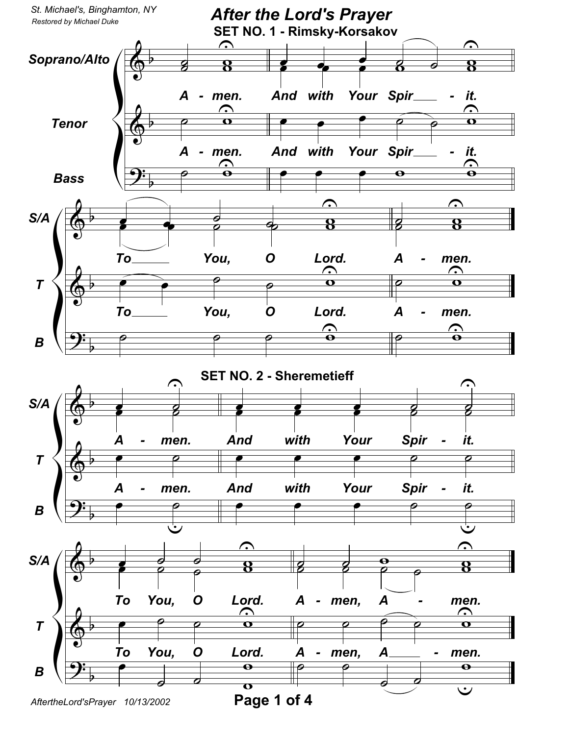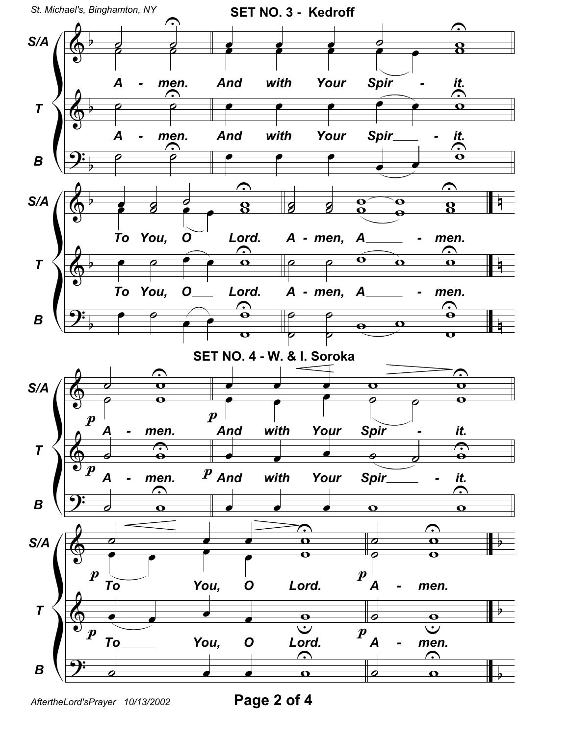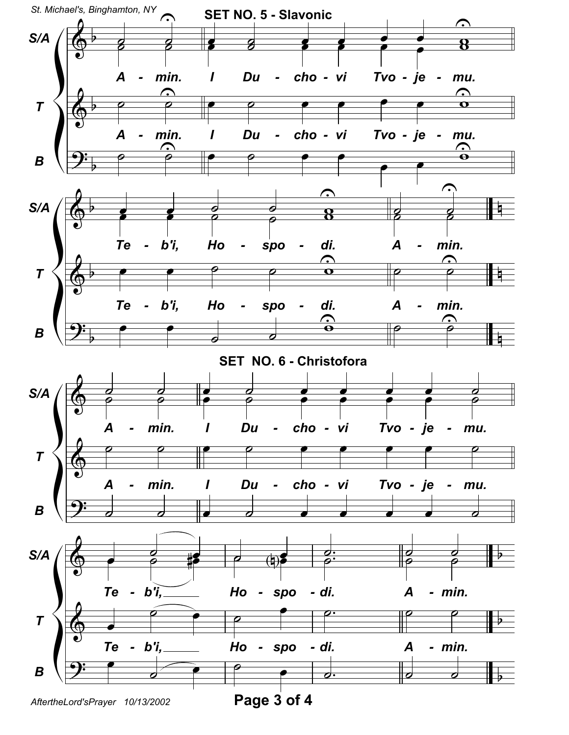